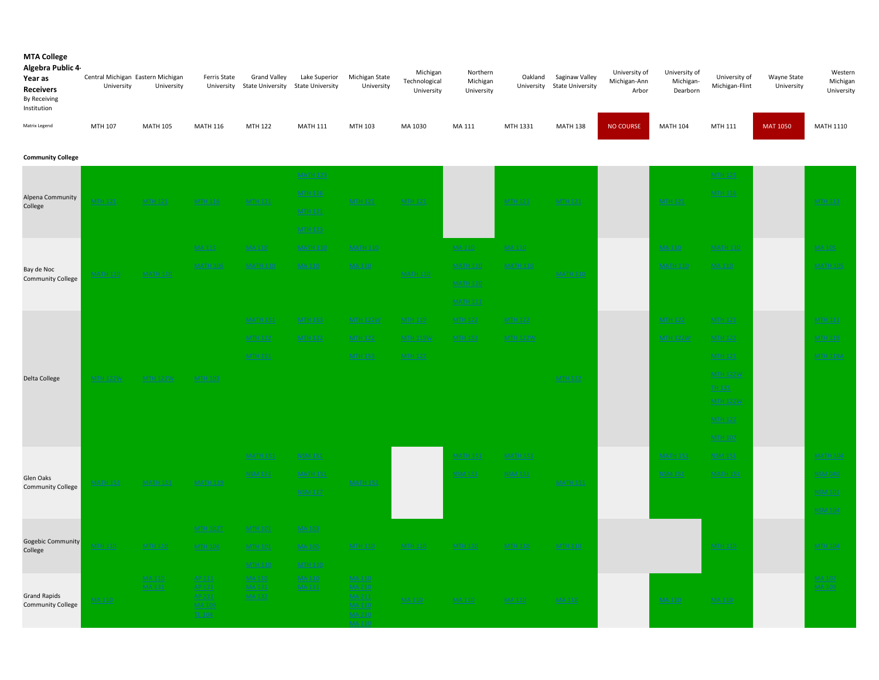| Algebra Public 4<br>Year as<br><b>Receivers</b><br>By Receiving<br>Institution | Central Michigan Eastern Michigan<br>University | University      | Ferris State<br>University | <b>Grand Valley</b><br><b>State University</b> | Lake Superior<br><b>State University</b> | Michigan State<br>University | Michigan<br>Technological<br>University | Northern<br>Michigan<br>University | Oakland<br>University | Saginaw Valley<br><b>State University</b> | University of<br>Michigan-Ann<br>Arbor | University of<br>Michigan-<br>Dearborn | University of<br>Michigan-Flint | Wayne State<br>University | Western<br>Michigan<br>University |
|--------------------------------------------------------------------------------|-------------------------------------------------|-----------------|----------------------------|------------------------------------------------|------------------------------------------|------------------------------|-----------------------------------------|------------------------------------|-----------------------|-------------------------------------------|----------------------------------------|----------------------------------------|---------------------------------|---------------------------|-----------------------------------|
| Matrix Legend                                                                  | MTH 107                                         | <b>MATH 105</b> | <b>MATH 116</b>            | MTH 122                                        | <b>MATH 111</b>                          | MTH 103                      | MA 1030                                 | MA 111                             | MTH 1331              | <b>MATH 138</b>                           | <b>NO COURSE</b>                       | <b>MATH 104</b>                        | MTH 111                         | <b>MAT 1050</b>           | MATH 1110                         |
| <b>Community College</b>                                                       |                                                 |                 |                            |                                                |                                          |                              |                                         |                                    |                       |                                           |                                        |                                        |                                 |                           |                                   |
|                                                                                |                                                 |                 |                            |                                                | <b>MATH 123</b>                          |                              |                                         |                                    |                       |                                           |                                        |                                        | MTH 121                         |                           |                                   |
| Alpena Community                                                               | <b>MTH 121</b>                                  | <b>MTH 121</b>  | <b>MTH 116</b>             | <b>MTH 121</b>                                 | <b>MTH 116</b>                           | <b>MTH 121</b>               | <b>MTH 121</b>                          |                                    | <b>MTH 121</b>        | <b>MTH 121</b>                            |                                        | <b>MTH 121</b>                         | MTH 116                         |                           | <b>MTH 113</b>                    |
| College                                                                        |                                                 |                 |                            |                                                | <b>MTH 121</b>                           |                              |                                         |                                    |                       |                                           |                                        |                                        |                                 |                           |                                   |
|                                                                                |                                                 |                 |                            |                                                | <b>MTH 123</b>                           |                              |                                         |                                    |                       |                                           |                                        |                                        |                                 |                           |                                   |
|                                                                                |                                                 |                 | MA 115                     | MA 110                                         | <b>MATH 110</b>                          | <b>MATH 110</b>              |                                         | MA 110                             | MA 110                |                                           |                                        | <b>MA 110</b>                          | <b>MATH 110</b>                 |                           | MA 105                            |
| Bay de Noc                                                                     | <b>MATH 110</b>                                 | <b>MATH 110</b> | <b>MATH 106</b>            | <b>MATH 110</b>                                | <b>MA 110</b>                            | MA 110                       | <b>MATH 110</b>                         | <b>MATH 110</b>                    | <b>MATH 110</b>       | <b>MATH 110</b>                           |                                        | <b>MATH 110</b>                        | <b>MA110</b>                    |                           | <b>MATH 105</b>                   |
| <b>Community College</b>                                                       |                                                 |                 |                            |                                                |                                          |                              |                                         | <b>MATH 110</b>                    |                       |                                           |                                        |                                        |                                 |                           |                                   |

|                                       |                 |                 | <b>MA115</b>            | <b>MA110</b>                 | <b>MATH 110</b> | <b>MATH 110</b>         |                 | <b>MA110</b>    | <b>MA 110</b>   |                 | <b>MA 110</b>   | <b>MATH 110</b>           | <b>MA 105</b>   |
|---------------------------------------|-----------------|-----------------|-------------------------|------------------------------|-----------------|-------------------------|-----------------|-----------------|-----------------|-----------------|-----------------|---------------------------|-----------------|
| Bay de Noc                            | <b>MATH 110</b> | <b>MATH 110</b> | <b>MATH 106</b>         | <b>MATH 110</b>              | MA 110          | <b>MA110</b>            | <b>MATH 110</b> | <b>MATH 110</b> | <b>MATH 110</b> | <b>MATH 110</b> | <b>MATH 110</b> | MA 110                    | <b>MATH 105</b> |
| <b>Community College</b>              |                 |                 |                         |                              |                 |                         |                 | <b>MATH 110</b> |                 |                 |                 |                           |                 |
|                                       |                 |                 |                         |                              |                 |                         |                 | <b>MATH 111</b> |                 |                 |                 |                           |                 |
|                                       |                 |                 |                         | <b>MATH 151</b>              | <b>MTH 153</b>  | <b>MTH 122W</b>         | <b>MTH 119</b>  | <b>MTH 122</b>  | <b>MTH 122</b>  |                 | <b>MTH 122</b>  | <b>MTH 121</b>            | <b>MTH 111</b>  |
|                                       |                 |                 |                         | <b>MTH 122</b>               | <b>MTH 122</b>  | <b>MTH 122</b>          | <b>MTH 119W</b> | <b>MTH 153</b>  | <b>MTH 122W</b> |                 | <b>MTH 122W</b> | <b>MTH 122</b>            | <b>MTH 119</b>  |
|                                       |                 |                 |                         | <b>MTH 151</b>               |                 | <b>MTH 153</b>          | <b>MTH 122</b>  |                 |                 |                 |                 | <b>MTH 121</b>            | <b>MTH 119A</b> |
| Delta College                         | <b>MTH 122W</b> | <b>MTH 122W</b> | <b>MTH 103</b>          |                              |                 |                         |                 |                 |                 | <b>MTH 122</b>  |                 | <b>MTH 122W</b>           |                 |
|                                       |                 |                 |                         |                              |                 |                         |                 |                 |                 |                 |                 | TH 121<br><b>MTH 122W</b> |                 |
|                                       |                 |                 |                         |                              |                 |                         |                 |                 |                 |                 |                 | <b>MTH 122</b>            |                 |
|                                       |                 |                 |                         |                              |                 |                         |                 |                 |                 |                 |                 | <b>MTH 107</b>            |                 |
|                                       |                 | <b>MATH 151</b> |                         | <b>MATH 151</b>              | NSM 151         |                         |                 | <b>MATH 151</b> | <b>MATH 151</b> |                 | <b>MATH 151</b> | <b>NSM 151</b>            | <b>MATH 104</b> |
|                                       |                 |                 | <b>MATH 119</b>         | <b>NSM 151</b>               | <b>MATH 151</b> | <b>MATH 151</b>         |                 | <b>NSM 151</b>  | <b>NSM 151</b>  |                 | <b>NSM 151</b>  | <b>MATH 151</b>           | <b>NSM 040</b>  |
| Glen Oaks<br><b>Community College</b> | <b>MATH 151</b> |                 |                         |                              | <b>NSM 117</b>  |                         |                 |                 |                 | <b>MATH 151</b> |                 |                           | <b>NSM 101</b>  |
|                                       |                 |                 |                         |                              |                 |                         |                 |                 |                 |                 |                 |                           | <b>NSM 104</b>  |
|                                       |                 |                 | <b>MTH 102T</b>         | <b>MTH 101</b>               | <b>MA 103</b>   |                         |                 |                 |                 |                 |                 |                           |                 |
| Gogebic Community                     | <b>MTH 110</b>  | <b>MTH 110</b>  | <b>MTH 106</b>          | <b>MTH 101</b>               | <b>MA 105</b>   | <b>MTH 110</b>          | <b>MTH 110</b>  | <b>MTH 110</b>  | <b>MTH 110</b>  | <b>MTH 110</b>  |                 | <b>MTH 110</b>            | <b>MTH 104</b>  |
| College                               |                 |                 |                         | <b>MTH 110</b>               | <b>MTH 110</b>  |                         |                 |                 |                 |                 |                 |                           |                 |
|                                       |                 | MA 110          | AP 111                  | <b>MA110</b>                 | <b>MA 110</b>   | <b>MA 110</b>           |                 |                 |                 |                 |                 |                           | <b>MA 107</b>   |
| <b>Grand Rapids</b>                   | MA 110          | MA 131          | AP 121<br>AP 221        | <b>MA131</b><br><b>MA132</b> | <b>MA131</b>    | MA 210<br>MA 211        | <b>MA110</b>    | <b>MA 110</b>   | <b>MA110</b>    | MA 110          | MA 110          | MA 110                    | MA 109          |
| <b>Community College</b>              |                 |                 | <b>MA 109</b><br>TE 104 |                              | MA 110          | MA 210<br><b>MA 110</b> |                 |                 |                 |                 |                 |                           |                 |
|                                       |                 |                 |                         |                              |                 |                         |                 |                 |                 |                 |                 |                           |                 |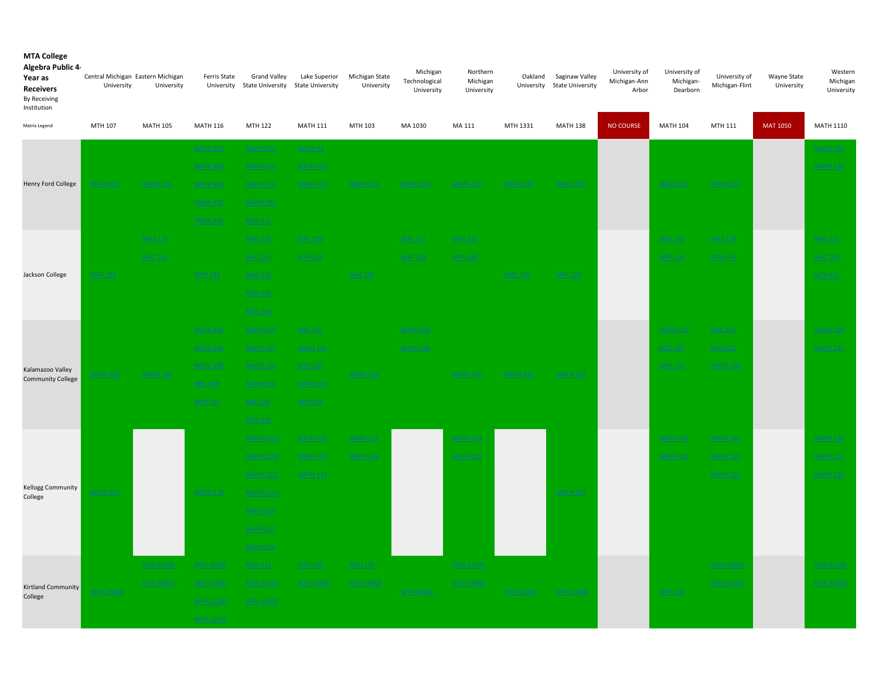| Algebra Public 4<br>Year as<br><b>Receivers</b><br>By Receiving<br>Institution | Central Michigan Eastern Michigan<br>University | University                           | Ferris State                         | <b>Grand Valley</b><br>University State University | Lake Superior<br><b>State University</b> | Michigan State<br>University       | Michigan<br>Technological<br>University | Northern<br>Michigan<br>University | Oakland          | Saginaw Valley<br>University State University | University of<br>Michigan-Ann<br>Arbor | University of<br>Michigan-<br>Dearborn | University of<br>Michigan-Flint      | Wayne State<br>University | Western<br>Michigan<br>University    |
|--------------------------------------------------------------------------------|-------------------------------------------------|--------------------------------------|--------------------------------------|----------------------------------------------------|------------------------------------------|------------------------------------|-----------------------------------------|------------------------------------|------------------|-----------------------------------------------|----------------------------------------|----------------------------------------|--------------------------------------|---------------------------|--------------------------------------|
| Matrix Legend                                                                  | MTH 107                                         | <b>MATH 105</b>                      | <b>MATH 116</b>                      | MTH 122                                            | <b>MATH 111</b>                          | MTH 103                            | MA 1030                                 | MA 111                             | MTH 1331         | <b>MATH 138</b>                               | <b>NO COURSE</b>                       | <b>MATH 104</b>                        | MTH 111                              | <b>MAT 1050</b>           | MATH 1110                            |
|                                                                                |                                                 |                                      | <b>MATH 021</b>                      | <b>MATH 113</b>                                    | <b>MATH 33</b>                           |                                    |                                         |                                    |                  |                                               |                                        |                                        |                                      |                           | <b>MATH 109</b>                      |
|                                                                                |                                                 |                                      | <b>MATH 103</b>                      | <b>MATH 115</b>                                    | <b>MATH 150</b>                          |                                    |                                         |                                    |                  |                                               |                                        |                                        |                                      |                           | <b>MATH 110</b>                      |
| <b>Henry Ford College</b>                                                      | <b>MATH 115</b>                                 | <b>MATH 115</b>                      | <b>MATH 106</b>                      | <b>MATH 170</b>                                    | <b>MATH 115</b>                          | MATH 11                            | <b>MATH 115</b>                         | <b>MATH 115</b>                    | <b>MATH 115</b>  | <b>MATH 115</b>                               |                                        | <b>MATH 115</b>                        | <b>MATH 115</b>                      |                           |                                      |
|                                                                                |                                                 |                                      | <b>TAMA 120</b>                      | MATH 29A                                           |                                          |                                    |                                         |                                    |                  |                                               |                                        |                                        |                                      |                           |                                      |
|                                                                                |                                                 |                                      | <b>TAMA 200</b>                      | <b>MTH 115</b>                                     |                                          |                                    |                                         |                                    |                  |                                               |                                        |                                        |                                      |                           |                                      |
|                                                                                |                                                 | <b>MAT 139</b>                       |                                      | <b>MAT 139</b>                                     | <b>MAT 139</b>                           |                                    | <b>MAT 131</b>                          | <b>MAT 139</b>                     |                  |                                               |                                        | <b>MAT 139</b>                         | <b>MAT 139</b>                       |                           | <b>MAT 131</b>                       |
|                                                                                |                                                 | <b>MAT 141</b>                       |                                      | <b>MAT 141</b>                                     | <b>MTH 134</b>                           |                                    | <b>MAT 139</b>                          | <b>MTH 140</b>                     |                  |                                               |                                        | <b>MTH 134</b>                         | <b>MTH 134</b>                       |                           | <b>MAT 139</b>                       |
| Jackson College                                                                | <b>MAT 139</b>                                  |                                      | <b>MTH 144</b>                       | <b>MAT 145</b>                                     |                                          | <b>MAT 139</b>                     |                                         |                                    | <b>MAT 139</b>   | <b>MAT 139</b>                                |                                        |                                        |                                      |                           | <b>MTH 131</b>                       |
|                                                                                |                                                 |                                      |                                      | <b>MTH 134</b>                                     |                                          |                                    |                                         |                                    |                  |                                               |                                        |                                        |                                      |                           |                                      |
|                                                                                |                                                 |                                      |                                      | <b>MTH 140</b>                                     |                                          |                                    |                                         |                                    |                  |                                               |                                        |                                        |                                      |                           |                                      |
|                                                                                |                                                 |                                      | <b>MATH 106</b>                      | <b>MATH 150</b>                                    | <b>MSC 150</b>                           |                                    | <b>MATH 116</b>                         |                                    |                  |                                               |                                        | <b>MATH 150</b>                        | <b>MSC 150</b>                       |                           | <b>MATH 150</b>                      |
|                                                                                |                                                 |                                      | <b>MATH 106</b>                      | <b>MATH 151</b>                                    | <b>MATH 156</b>                          | <b>MATH 150</b>                    | <b>MATH 150</b>                         |                                    |                  |                                               |                                        | <b>MSC 150</b>                         | <b>MTH 101</b>                       |                           | <b>MATH 151</b>                      |
| Kalamazoo Valley<br><b>Community College</b>                                   | <b>MATH 150</b>                                 | <b>MATH 150</b>                      | <b>MATH 108</b>                      | <b>MATH 156</b>                                    | <b>MTH 101</b>                           |                                    |                                         | <b>MATH 150</b>                    | <b>MATH 150</b>  | <b>MATH 150</b>                               |                                        | <b>MTH 101</b>                         | <b>MATH 150</b>                      |                           |                                      |
|                                                                                |                                                 |                                      | <b>MSC 108</b>                       | <b>MATH 156</b>                                    | <b>MATH 150</b>                          |                                    |                                         |                                    |                  |                                               |                                        |                                        |                                      |                           |                                      |
|                                                                                |                                                 |                                      | <b>MTH 151</b>                       | <b>MSC 150</b>                                     | <b>MTH 110</b>                           |                                    |                                         |                                    |                  |                                               |                                        |                                        |                                      |                           |                                      |
|                                                                                |                                                 |                                      |                                      | <b>MTH 101</b>                                     |                                          |                                    |                                         |                                    |                  |                                               |                                        |                                        |                                      |                           |                                      |
|                                                                                |                                                 |                                      |                                      | <b>MATH 121D</b>                                   | <b>MATH 126</b>                          | <b>MATH 125</b>                    |                                         | <b>MATH 124</b>                    |                  |                                               |                                        | <b>MATH 124</b>                        | <b>MATH 124</b>                      |                           | <b>MATH 119</b>                      |
|                                                                                |                                                 |                                      |                                      | <b>MATH 121B</b>                                   | <b>MATH 125</b>                          | <b>MATH 124</b>                    |                                         | <b>MATH 125</b>                    |                  |                                               |                                        | <b>MATH 125</b>                        | <b>MATH 125</b>                      |                           | <b>MATH 121</b>                      |
| Kellogg Community                                                              |                                                 |                                      |                                      | <b>MATH 1210</b>                                   | <b>MATH 124</b>                          |                                    |                                         |                                    |                  |                                               |                                        |                                        | <b>MATH 126</b>                      |                           | <b>MATH 125</b>                      |
| College                                                                        | <b>MATH 125</b>                                 |                                      | <b>MATH 118</b>                      | <b>MATH 121A</b>                                   |                                          |                                    |                                         |                                    |                  | <b>MATH 125</b>                               |                                        |                                        |                                      |                           |                                      |
|                                                                                |                                                 |                                      |                                      | <b>MATH 124</b>                                    |                                          |                                    |                                         |                                    |                  |                                               |                                        |                                        |                                      |                           |                                      |
|                                                                                |                                                 |                                      |                                      | <b>MATH 125</b>                                    |                                          |                                    |                                         |                                    |                  |                                               |                                        |                                        |                                      |                           |                                      |
|                                                                                |                                                 |                                      |                                      | <b>MATH 126</b>                                    |                                          |                                    |                                         |                                    |                  |                                               |                                        |                                        |                                      |                           |                                      |
|                                                                                |                                                 | <b>MTH 13000</b><br><b>MTH 18001</b> | <b>MAT 10200</b><br><b>MAT 10300</b> | <b>MTH 121</b><br>MTH 12100                        | <b>MTH 130</b><br><b>MTH 13000</b>       | <b>MTH 130</b><br><b>MTH 13000</b> |                                         | MTH 12100<br><b>MTH 13000</b>      |                  |                                               |                                        |                                        | <b>MTH 13000</b><br><b>MTH 12100</b> |                           | <b>MTH 11200</b><br><b>MTH 12000</b> |
| <b>Kirtland Community</b><br>College                                           | MTH 13000                                       |                                      | MTH 12100                            | <b>MTH 13000</b>                                   |                                          |                                    | <b>MTH 13000</b>                        |                                    | <b>MTH 13000</b> | <b>MTH 13000</b>                              |                                        | <b>MTH 130</b>                         |                                      |                           |                                      |
|                                                                                |                                                 |                                      |                                      |                                                    |                                          |                                    |                                         |                                    |                  |                                               |                                        |                                        |                                      |                           |                                      |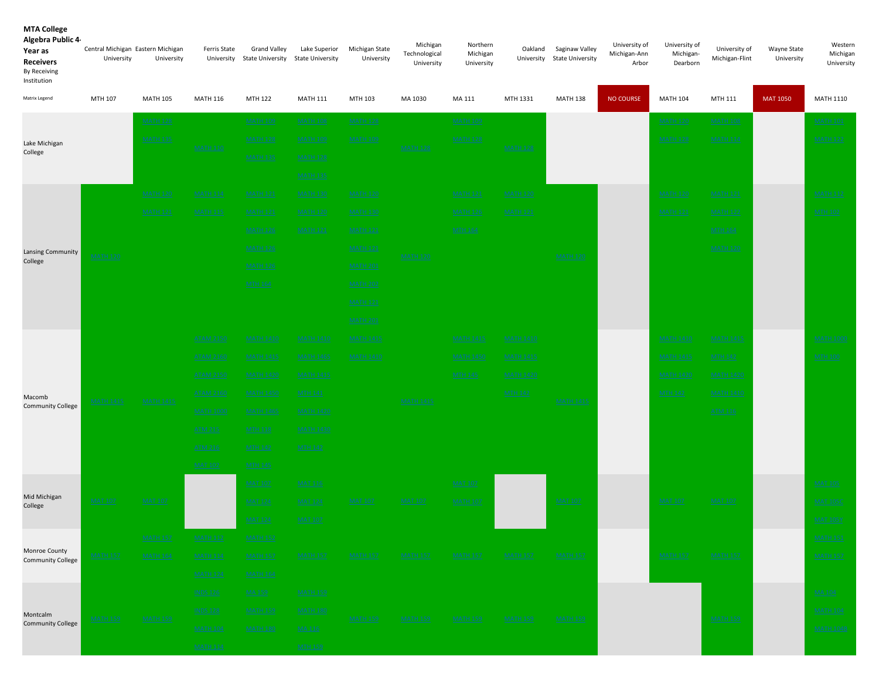| Algebra Public 4-<br>Year as<br><b>Receivers</b><br>By Receiving<br>Institution | Central Michigan Eastern Michigan<br>University | University       | Ferris State     | <b>Grand Valley</b><br>University State University | Lake Superior<br><b>State University</b> | Michigan State<br>University | Michigan<br>Technological<br>University | Northern<br>Michigan<br>University | Oakland          | Saginaw Valley<br>University State University | University of<br>Michigan-Ann<br>Arbor | University of<br>Michigan-<br>Dearborn | University of<br>Michigan-Flint | Wayne State<br>University | Western<br>Michigan<br>University |
|---------------------------------------------------------------------------------|-------------------------------------------------|------------------|------------------|----------------------------------------------------|------------------------------------------|------------------------------|-----------------------------------------|------------------------------------|------------------|-----------------------------------------------|----------------------------------------|----------------------------------------|---------------------------------|---------------------------|-----------------------------------|
| Matrix Legend                                                                   | MTH 107                                         | <b>MATH 105</b>  | <b>MATH 116</b>  | MTH 122                                            | <b>MATH 111</b>                          | MTH 103                      | MA 1030                                 | MA 111                             | MTH 1331         | <b>MATH 138</b>                               | <b>NO COURSE</b>                       | <b>MATH 104</b>                        | MTH 111                         | <b>MAT 1050</b>           | <b>MATH 1110</b>                  |
|                                                                                 |                                                 | <b>MATH 128</b>  |                  | <b>MATH 109</b>                                    | <b>MATH 108</b>                          | <b>MATH 128</b>              |                                         | <b>MATH 109</b>                    |                  |                                               |                                        | <b>MATH 120</b>                        | <b>MATH 108</b>                 |                           | <b>MATH 101</b>                   |
| Lake Michigan                                                                   |                                                 | <b>MATH 135</b>  | <b>MATH 110</b>  | <b>MATH 128</b>                                    | <b>MATH 109</b>                          | <b>MATH 109</b>              | <b>MATH 128</b>                         | <b>MATH 128</b>                    | <b>MATH 128</b>  |                                               |                                        | <b>MATH 128</b>                        | <b>MATH 114</b>                 |                           | <b>MATH 122</b>                   |
| College                                                                         |                                                 |                  |                  | <b>MATH 135</b>                                    | <b>MATH 128</b>                          |                              |                                         |                                    |                  |                                               |                                        |                                        |                                 |                           |                                   |
|                                                                                 |                                                 |                  |                  |                                                    | <b>MATH 135</b>                          |                              |                                         |                                    |                  |                                               |                                        |                                        |                                 |                           |                                   |
| Lansing Community<br>College                                                    |                                                 | <b>MATH 120</b>  | <b>MATH 114</b>  | <b>MATH 121</b>                                    | <b>MATH 130</b>                          | <b>MATH 120</b>              |                                         | <b>MATH 121</b>                    | <b>MATH 120</b>  |                                               |                                        | <b>MATH 120</b>                        | <b>MATH 121</b>                 |                           | <b>MATH 112</b>                   |
|                                                                                 |                                                 | <b>MATH 121</b>  | <b>MATH 115</b>  | <b>MATH 121</b>                                    | <b>MATH 120</b>                          | <b>MATH 130</b>              |                                         | <b>MATH 126</b>                    | <b>MATH 121</b>  |                                               |                                        | <b>MATH 121</b>                        | <b>MATH 122</b>                 |                           | <b>MTH 102</b>                    |
|                                                                                 | <b>MATH 120</b>                                 |                  |                  | <b>MATH 126</b>                                    | <b>MATH 121</b>                          | <b>MATH 121</b>              |                                         | <b>MTH 164</b>                     |                  |                                               |                                        |                                        | <b>MTH 164</b>                  |                           |                                   |
|                                                                                 |                                                 |                  |                  | <b>MATH 126</b>                                    |                                          | <b>MATH 121</b>              | <b>MATH 120</b>                         |                                    |                  | <b>MATH 120</b>                               |                                        |                                        | <b>MATH 120</b>                 |                           |                                   |
|                                                                                 |                                                 |                  |                  | <b>MATH 126</b>                                    |                                          | <b>MATH 201</b>              |                                         |                                    |                  |                                               |                                        |                                        |                                 |                           |                                   |
|                                                                                 |                                                 |                  |                  | <b>MTH 164</b>                                     |                                          | <b>MATH 202</b>              |                                         |                                    |                  |                                               |                                        |                                        |                                 |                           |                                   |
|                                                                                 |                                                 |                  |                  |                                                    |                                          | <b>MATH 121</b>              |                                         |                                    |                  |                                               |                                        |                                        |                                 |                           |                                   |
|                                                                                 |                                                 |                  |                  |                                                    |                                          | <b>MATH 201</b>              |                                         |                                    |                  |                                               |                                        |                                        |                                 |                           |                                   |
|                                                                                 |                                                 |                  | <b>ATAM 2150</b> | MATH 1410                                          | <b>MATH 1410</b>                         | <b>MATH 1415</b>             |                                         | <b>MATH 1415</b>                   | <b>MATH 1410</b> |                                               |                                        | MATH 1410                              | <b>MATH 1415</b>                |                           | <b>MATH 1000</b>                  |
|                                                                                 |                                                 |                  | <b>ATAM 2160</b> | <u>MATH 1415</u>                                   | <b>MATH 1465</b>                         | <b>MATH 1410</b>             |                                         | <b>MATH 1450</b>                   | <b>MATH 1415</b> |                                               |                                        | MATH 1415                              | <b>MTH 142</b>                  |                           | <b>MTH 100</b>                    |
|                                                                                 |                                                 |                  | <b>ATAM 2150</b> | <b>MATH 1420</b>                                   | <b>MATH 1415</b>                         |                              |                                         | <b>MTH 145</b>                     | <b>MATH 1420</b> |                                               |                                        | <b>MATH 1420</b>                       | <b>MATH 1420</b>                |                           |                                   |
| Macomb<br><b>Community College</b>                                              | <b>MATH 1415</b>                                | <b>MATH 1415</b> | <b>ATAM 2160</b> | <b>MATH 1450</b>                                   | <b>MTH 141</b>                           |                              | <b>MATH 1415</b>                        |                                    | <b>MTH 142</b>   | <b>MATH 1415</b>                              |                                        | <b>MTH 142</b>                         | <b>MATH 1410</b>                |                           |                                   |
|                                                                                 |                                                 |                  | <b>MATH 1000</b> | <b>MATH 1465</b>                                   | <b>MATH 1420</b>                         |                              |                                         |                                    |                  |                                               |                                        |                                        | <b>ATM 116</b>                  |                           |                                   |
|                                                                                 |                                                 |                  | <b>ATM 215</b>   | <b>MTH 118</b>                                     | <b>MATH 1430</b>                         |                              |                                         |                                    |                  |                                               |                                        |                                        |                                 |                           |                                   |
|                                                                                 |                                                 |                  | <b>ATM 216</b>   | <b>MTH 142</b>                                     | <b>MTH 142</b>                           |                              |                                         |                                    |                  |                                               |                                        |                                        |                                 |                           |                                   |
|                                                                                 |                                                 |                  | <b>MAT 102</b>   | <b>MTH 145</b>                                     |                                          |                              |                                         |                                    |                  |                                               |                                        |                                        |                                 |                           |                                   |
| Mid Michigan                                                                    |                                                 |                  |                  | <b>MAT 107</b>                                     | <b>MAT 116</b>                           |                              |                                         | <b>MAT 107</b>                     |                  |                                               |                                        |                                        |                                 |                           | <b>MAT 105</b>                    |
| College                                                                         | <b>MAT 107</b>                                  | <b>MAT 107</b>   |                  | <b>MAT 124</b>                                     | <b>MAT 124</b>                           | <b>MAT 107</b>               | <b>MAT 107</b>                          | <b>MATH 107</b>                    |                  | <b>MAT 107</b>                                |                                        | <b>MAT 107</b>                         | <b>MAT 107</b>                  |                           | <u>MAT 105C</u>                   |
|                                                                                 |                                                 |                  |                  | <b>MAT 124</b>                                     | <b>MAT 107</b>                           |                              |                                         |                                    |                  |                                               |                                        |                                        |                                 |                           | <b>MAT 105Y</b>                   |
| Monroe County                                                                   |                                                 | <b>MATH 157</b>  | <u>MATH 112</u>  | <u>MATH 152</u>                                    |                                          |                              |                                         |                                    |                  |                                               |                                        |                                        |                                 |                           | <u>MATH 151</u>                   |
| <b>Community College</b>                                                        | <b>MATH 157</b>                                 | <b>MATH 164</b>  | <b>MATH 114</b>  | <b>MATH 157</b>                                    | <b>MATH 157</b>                          | <b>MATH 157</b>              | <b>MATH 157</b>                         | <b>MATH 157</b>                    | <b>MATH 157</b>  | <b>MATH 157</b>                               |                                        | <b>MATH 157</b>                        | <b>MATH 157</b>                 |                           | <b>MATH 157</b>                   |
|                                                                                 |                                                 |                  | <b>MATH 124</b>  | <b>MATH 164</b>                                    |                                          |                              |                                         |                                    |                  |                                               |                                        |                                        |                                 |                           |                                   |
|                                                                                 |                                                 |                  | <b>INDS 126</b>  | MA 159                                             | <b>MATH 159</b>                          |                              |                                         |                                    |                  |                                               |                                        |                                        |                                 |                           | <b>MA 104</b>                     |
| Montcalm<br><b>Community College</b>                                            | <u>MATH 159</u>                                 | <b>MATH 159</b>  | <b>INDS 128</b>  | <b>MATH 159</b>                                    | <b>MATH 180</b>                          | <b>MATH 159</b>              | <b>MATH 159</b>                         | <b>MATH 159</b>                    | <b>MATH 159</b>  | <b>MATH 159</b>                               |                                        |                                        | <b>MATH 159</b>                 |                           | <b>MATH 104</b>                   |
|                                                                                 |                                                 |                  | <b>MATH 104</b>  | <b>MATH 180</b>                                    | MA 116                                   |                              |                                         |                                    |                  |                                               |                                        |                                        |                                 |                           | <b>MATH 104B</b>                  |
|                                                                                 |                                                 |                  | <b>MATH 114</b>  |                                                    | <b>MTH 159</b>                           |                              |                                         |                                    |                  |                                               |                                        |                                        |                                 |                           |                                   |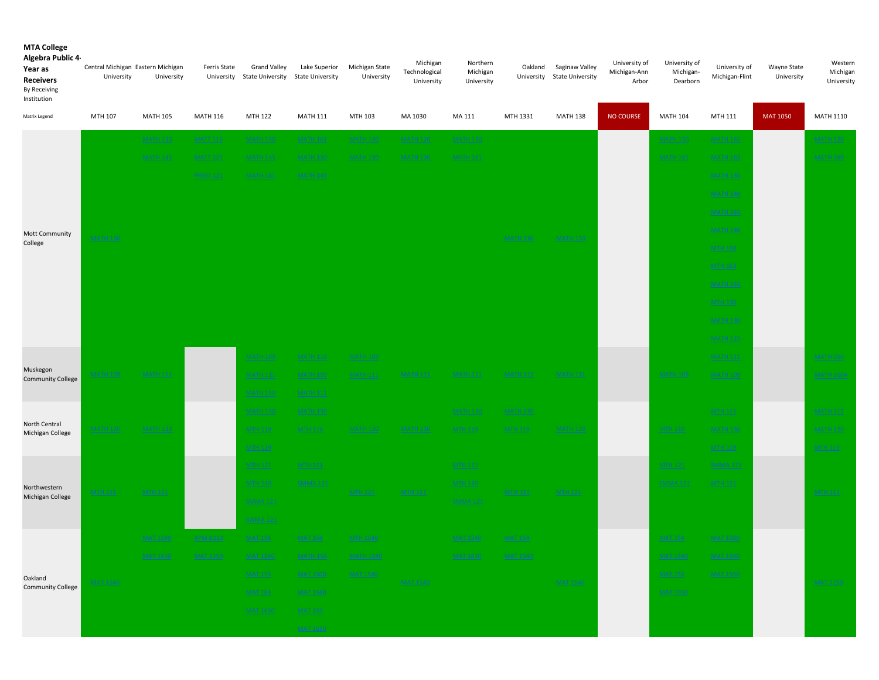| Algebra Public 4<br>Year as<br><b>Receivers</b><br>By Receiving<br>Institution | Central Michigan Eastern Michigan<br>University | University      | Ferris State    | <b>Grand Valley</b><br>University State University State University | Lake Superior                     | Michigan State<br>University | Michigan<br>Technological<br>University | Northern<br>Michigan<br>University | Oakland         | Saginaw Valley<br>University State University | University of<br>Michigan-Ann<br>Arbor | University of<br>Michigan-<br>Dearborn | University of<br>Michigan-Flint   | Wayne State<br>University | Western<br>Michigan<br>University |
|--------------------------------------------------------------------------------|-------------------------------------------------|-----------------|-----------------|---------------------------------------------------------------------|-----------------------------------|------------------------------|-----------------------------------------|------------------------------------|-----------------|-----------------------------------------------|----------------------------------------|----------------------------------------|-----------------------------------|---------------------------|-----------------------------------|
| Matrix Legend                                                                  | MTH 107                                         | <b>MATH 105</b> | <b>MATH 116</b> | MTH 122                                                             | <b>MATH 111</b>                   | MTH 103                      | MA 1030                                 | MA 111                             | MTH 1331        | <b>MATH 138</b>                               | <b>NO COURSE</b>                       | <b>MATH 104</b>                        | MTH 111                           | <b>MAT 1050</b>           | <b>MATH 1110</b>                  |
|                                                                                |                                                 | <b>MATH 130</b> | <b>MATT 116</b> | <b>MATH 130</b>                                                     | <b>MATH 161</b>                   | <b>MATH 130</b>              | <b>MATH 120</b>                         | <b>MATH 130</b>                    |                 |                                               |                                        | <b>MATH 130</b>                        | <b>MATH 161</b>                   |                           | <b>MATH 120</b>                   |
|                                                                                |                                                 | <b>MATH 145</b> | <b>MATT 121</b> | <b>MATH 145</b>                                                     | <b>MATH 130</b>                   | <b>MATH 130</b>              | <b>MATH 130</b>                         | <b>MATH 161</b>                    |                 |                                               |                                        | <b>MATH 161</b>                        | <b>MATH 163</b>                   |                           | <b>MATH 160</b>                   |
|                                                                                |                                                 |                 | <b>PHSM 121</b> | <b>MATH 161</b>                                                     | <b>MATH 145</b>                   |                              |                                         |                                    |                 |                                               |                                        |                                        | <b>MATH 130</b>                   |                           |                                   |
|                                                                                |                                                 |                 |                 |                                                                     |                                   |                              |                                         |                                    |                 |                                               |                                        |                                        | <b>MATH 140</b>                   |                           |                                   |
|                                                                                |                                                 |                 |                 |                                                                     |                                   |                              |                                         |                                    |                 |                                               |                                        |                                        | <b>MATH 161</b>                   |                           |                                   |
| <b>Mott Community</b>                                                          | <b>MATH 130</b>                                 |                 |                 |                                                                     |                                   |                              |                                         |                                    | <b>MATH 130</b> | <b>MATH 130</b>                               |                                        |                                        | <b>MATH 140</b>                   |                           |                                   |
| College                                                                        |                                                 |                 |                 |                                                                     |                                   |                              |                                         |                                    |                 |                                               |                                        |                                        | <b>MTH 130</b>                    |                           |                                   |
|                                                                                |                                                 |                 |                 |                                                                     |                                   |                              |                                         |                                    |                 |                                               |                                        |                                        | <b>MTH 163</b>                    |                           |                                   |
|                                                                                |                                                 |                 |                 |                                                                     |                                   |                              |                                         |                                    |                 |                                               |                                        |                                        | <b>MATH 161</b>                   |                           |                                   |
|                                                                                |                                                 |                 |                 |                                                                     |                                   |                              |                                         |                                    |                 |                                               |                                        |                                        | <b>MTH 130</b>                    |                           |                                   |
|                                                                                |                                                 |                 |                 |                                                                     |                                   |                              |                                         |                                    |                 |                                               |                                        |                                        | <b>MATH 130</b>                   |                           |                                   |
|                                                                                |                                                 |                 |                 |                                                                     |                                   |                              |                                         |                                    |                 |                                               |                                        |                                        | <b>MATH 115</b>                   |                           |                                   |
| Muskegon                                                                       |                                                 |                 |                 | <b>MATH 109</b>                                                     | <b>MATH 110</b>                   | <b>MATH 109</b>              |                                         |                                    |                 |                                               |                                        |                                        | <b>MATH 111</b>                   |                           | <b>MATH 050</b>                   |
| <b>Community College</b>                                                       | <b>MATH 109</b>                                 | <b>MATH 111</b> |                 | <b>MATH 111</b>                                                     | <b>MATH 109</b>                   | <b>MATH 111</b>              | <b>MATH 111</b>                         | <b>MATH 111</b>                    | <b>MATH 111</b> | <b>MATH 111</b>                               |                                        | <b>MATH 109</b>                        | <b>MATH 109</b>                   |                           | <b>MATH 100A</b>                  |
|                                                                                |                                                 |                 |                 | <b>MATH 150</b>                                                     | <b>MATH 111</b>                   |                              |                                         |                                    |                 |                                               |                                        |                                        |                                   |                           |                                   |
| North Central                                                                  |                                                 | <b>MATH 130</b> |                 | <b>MATH 130</b>                                                     | <b>MATH 130</b>                   |                              |                                         | <b>MATH 130</b>                    | <b>MATH 130</b> |                                               |                                        |                                        | <b>MTH 115</b>                    |                           | <b>MATH 112</b>                   |
| Michigan College                                                               | <b>MATH 130</b>                                 |                 |                 | <b>MTH 119</b>                                                      | <b>MTH 119</b>                    | <b>MATH 130</b>              | <b>MATH 130</b>                         | <b>MTH 119</b>                     | <b>MTH 119</b>  | <b>MATH 130</b>                               |                                        | <b>MTH 119</b>                         | <b>MATH 130</b>                   |                           | <b>MATH 120</b>                   |
|                                                                                |                                                 |                 |                 | <b>MTH 119</b>                                                      |                                   |                              |                                         |                                    |                 |                                               |                                        |                                        | <b>MTH 119</b><br><b>SMMA 121</b> |                           | <b>MTH 113</b>                    |
|                                                                                |                                                 |                 |                 | <b>MTH 121</b><br><b>MTH 140</b>                                    | <b>MTH 121</b><br><b>SMMA 121</b> |                              |                                         | <b>MTH 121</b><br><b>MTH 140</b>   |                 |                                               |                                        | <b>MTH 121</b><br><b>SMMA 121</b>      | <b>MTH 121</b>                    |                           |                                   |
| Northwestern<br>Michigan College                                               | <b>MTH 121</b>                                  | <b>MTH 121</b>  |                 | <b>SMMA 121</b>                                                     |                                   | <b>MTH 121</b>               | <b>MTH 121</b>                          | <b>SMMA 121</b>                    | <b>MTH 121</b>  | <b>MTH 121</b>                                |                                        |                                        |                                   |                           | <b>MTH 111</b>                    |
|                                                                                |                                                 |                 |                 | <b>SWMA 121</b>                                                     |                                   |                              |                                         |                                    |                 |                                               |                                        |                                        |                                   |                           |                                   |
|                                                                                |                                                 | <b>MAT 1540</b> | <b>APM 8210</b> | <b>MAT 154</b>                                                      | <b>MAT 154</b>                    | <b>MTH 1540</b>              |                                         | <b>MAT 1540</b>                    | <b>MAT 154</b>  |                                               |                                        | <b>MAT 154</b>                         | <b>MAT 1500</b>                   |                           |                                   |
|                                                                                |                                                 | MAT 1630        | MAT 1150        | <u>MAT 1540</u>                                                     | <b>MATH 150</b>                   | <b>MATH 1540</b>             |                                         | MAT 1630                           | MAT 1540        |                                               |                                        | MAT 1540                               | MAT 1540                          |                           |                                   |
| Oakland                                                                        |                                                 |                 |                 | <b>MAT 155</b>                                                      | <b>MAT 1500</b>                   | <b>MAT 1540</b>              |                                         |                                    |                 |                                               |                                        | <b>MAT 155</b>                         | <b>MAT 1550</b>                   |                           |                                   |
| <b>Community College</b>                                                       | <b>MAT 1540</b>                                 |                 |                 | <b>MAT 163</b>                                                      | <b>MAT 1540</b>                   |                              | <b>MAT 1540</b>                         |                                    |                 | MAT 1540                                      |                                        | <b>MAT 1550</b>                        |                                   |                           | <b>MAT 1150</b>                   |
|                                                                                |                                                 |                 |                 | <b>MAT 1630</b>                                                     | <b>MAT 155</b>                    |                              |                                         |                                    |                 |                                               |                                        |                                        |                                   |                           |                                   |
|                                                                                |                                                 |                 |                 |                                                                     | <b>MAT 1630</b>                   |                              |                                         |                                    |                 |                                               |                                        |                                        |                                   |                           |                                   |